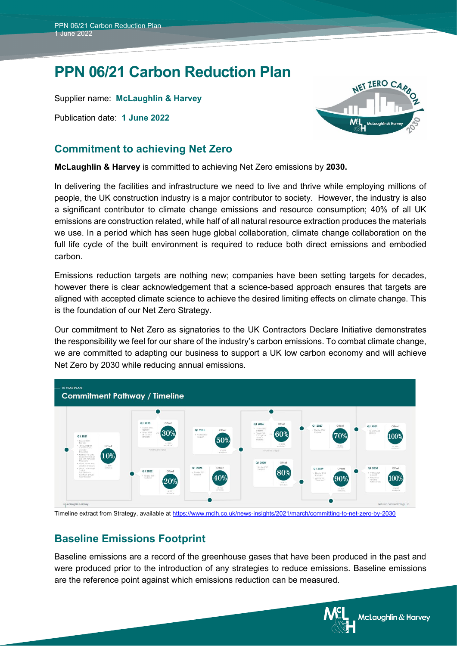# **PPN 06/21 Carbon Reduction Plan**

Supplier name: **McLaughlin & Harvey**

Publication date: **1 June 2022**

### **Commitment to achieving Net Zero**

**McLaughlin & Harvey** is committed to achieving Net Zero emissions by **2030.**

In delivering the facilities and infrastructure we need to live and thrive while employing millions of people, the UK construction industry is a major contributor to society. However, the industry is also a significant contributor to climate change emissions and resource consumption; 40% of all UK emissions are construction related, while half of all natural resource extraction produces the materials we use. In a period which has seen huge global collaboration, climate change collaboration on the full life cycle of the built environment is required to reduce both direct emissions and embodied carbon.

Emissions reduction targets are nothing new; companies have been setting targets for decades, however there is clear acknowledgement that a science-based approach ensures that targets are aligned with accepted climate science to achieve the desired limiting effects on climate change. This is the foundation of our Net Zero Strategy.

Our commitment to Net Zero as signatories to the UK Contractors Declare Initiative demonstrates the responsibility we feel for our share of the industry's carbon emissions. To combat climate change, we are committed to adapting our business to support a UK low carbon economy and will achieve Net Zero by 2030 while reducing annual emissions.



Timeline extract from Strategy, available a[t https://www.mclh.co.uk/news-insights/2021/march/committing-to-net-zero-by-2030](https://www.mclh.co.uk/news-insights/2021/march/committing-to-net-zero-by-2030)

## **Baseline Emissions Footprint**

Baseline emissions are a record of the greenhouse gases that have been produced in the past and were produced prior to the introduction of any strategies to reduce emissions. Baseline emissions are the reference point against which emissions reduction can be measured.



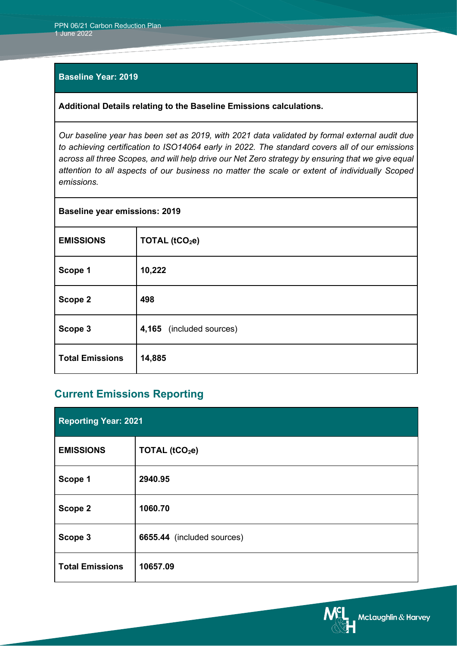#### **Baseline Year: 2019**

#### **Additional Details relating to the Baseline Emissions calculations.**

*Our baseline year has been set as 2019, with 2021 data validated by formal external audit due to achieving certification to ISO14064 early in 2022. The standard covers all of our emissions across all three Scopes, and will help drive our Net Zero strategy by ensuring that we give equal attention to all aspects of our business no matter the scale or extent of individually Scoped emissions.*

| <b>Baseline year emissions: 2019</b> |                            |
|--------------------------------------|----------------------------|
| <b>EMISSIONS</b>                     | TOTAL (tCO <sub>2</sub> e) |
| Scope 1                              | 10,222                     |
| Scope 2                              | 498                        |
| Scope 3                              | 4,165 (included sources)   |
| <b>Total Emissions</b>               | 14,885                     |

### **Current Emissions Reporting**

| <b>Reporting Year: 2021</b> |                            |
|-----------------------------|----------------------------|
| <b>EMISSIONS</b>            | TOTAL (tCO <sub>2</sub> e) |
| Scope 1                     | 2940.95                    |
| Scope 2                     | 1060.70                    |
| Scope 3                     | 6655.44 (included sources) |
| <b>Total Emissions</b>      | 10657.09                   |

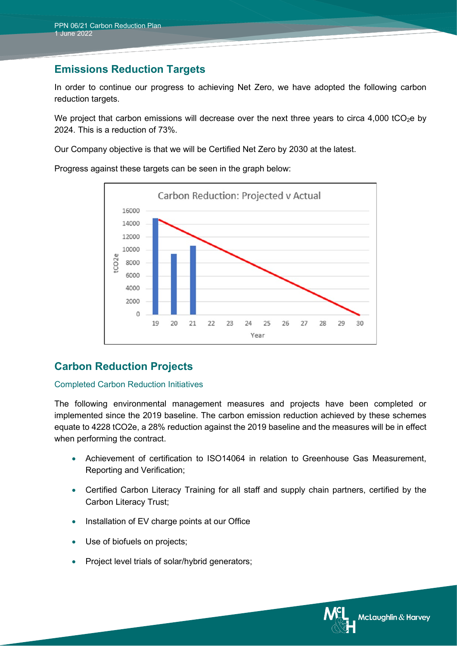### **Emissions Reduction Targets**

In order to continue our progress to achieving Net Zero, we have adopted the following carbon reduction targets.

We project that carbon emissions will decrease over the next three years to circa 4,000 tCO<sub>2</sub>e by 2024. This is a reduction of 73%.

Our Company objective is that we will be Certified Net Zero by 2030 at the latest.

Progress against these targets can be seen in the graph below:



## **Carbon Reduction Projects**

#### Completed Carbon Reduction Initiatives

The following environmental management measures and projects have been completed or implemented since the 2019 baseline. The carbon emission reduction achieved by these schemes equate to 4228 tCO2e, a 28% reduction against the 2019 baseline and the measures will be in effect when performing the contract.

- Achievement of certification to ISO14064 in relation to Greenhouse Gas Measurement, Reporting and Verification;
- Certified Carbon Literacy Training for all staff and supply chain partners, certified by the Carbon Literacy Trust;
- Installation of EV charge points at our Office
- Use of biofuels on projects;
- Project level trials of solar/hybrid generators;